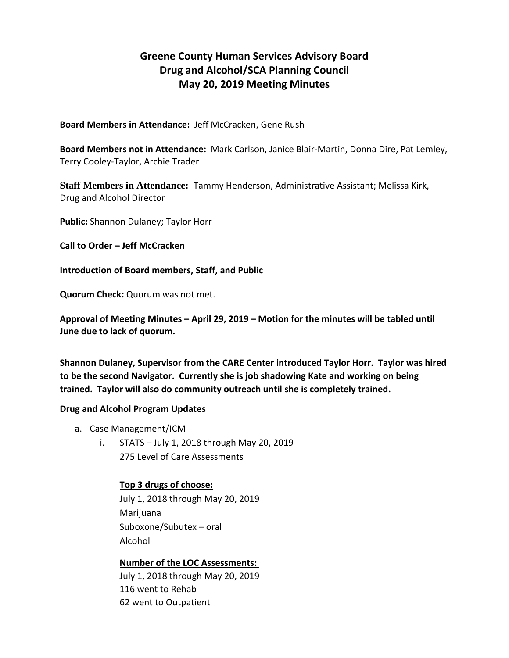# **Greene County Human Services Advisory Board Drug and Alcohol/SCA Planning Council May 20, 2019 Meeting Minutes**

**Board Members in Attendance:** Jeff McCracken, Gene Rush

**Board Members not in Attendance:** Mark Carlson, Janice Blair-Martin, Donna Dire, Pat Lemley, Terry Cooley-Taylor, Archie Trader

**Staff Members in Attendance:** Tammy Henderson, Administrative Assistant; Melissa Kirk, Drug and Alcohol Director

**Public:** Shannon Dulaney; Taylor Horr

**Call to Order – Jeff McCracken**

**Introduction of Board members, Staff, and Public**

**Quorum Check:** Quorum was not met.

**Approval of Meeting Minutes – April 29, 2019 – Motion for the minutes will be tabled until June due to lack of quorum.**

**Shannon Dulaney, Supervisor from the CARE Center introduced Taylor Horr. Taylor was hired to be the second Navigator. Currently she is job shadowing Kate and working on being trained. Taylor will also do community outreach until she is completely trained.**

#### **Drug and Alcohol Program Updates**

- a. Case Management/ICM
	- i. STATS July 1, 2018 through May 20, 2019 275 Level of Care Assessments

### **Top 3 drugs of choose:**

July 1, 2018 through May 20, 2019 Marijuana Suboxone/Subutex – oral Alcohol

**Number of the LOC Assessments:**  July 1, 2018 through May 20, 2019 116 went to Rehab 62 went to Outpatient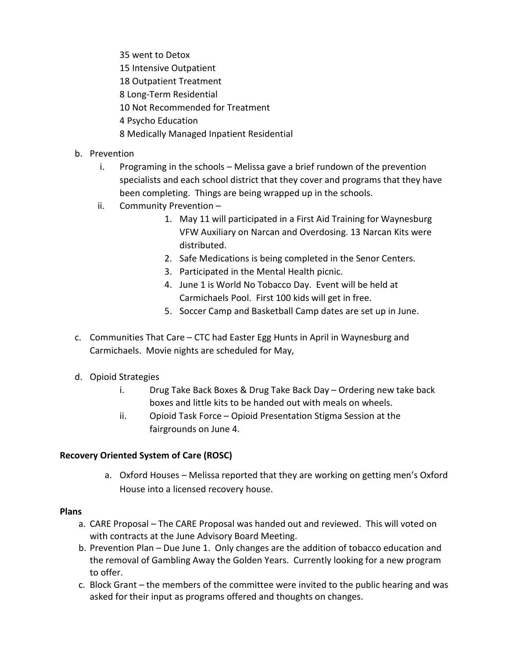- 35 went to Detox
- 15 Intensive Outpatient
- 18 Outpatient Treatment
- 8 Long-Term Residential
- 10 Not Recommended for Treatment
- 4 Psycho Education
- 8 Medically Managed Inpatient Residential
- b. Prevention
	- i. Programing in the schools Melissa gave a brief rundown of the prevention specialists and each school district that they cover and programs that they have been completing. Things are being wrapped up in the schools.
	- ii. Community Prevention
		- 1. May 11 will participated in a First Aid Training for Waynesburg VFW Auxiliary on Narcan and Overdosing. 13 Narcan Kits were distributed.
		- 2. Safe Medications is being completed in the Senor Centers.
		- 3. Participated in the Mental Health picnic.
		- 4. June 1 is World No Tobacco Day. Event will be held at Carmichaels Pool. First 100 kids will get in free.
		- 5. Soccer Camp and Basketball Camp dates are set up in June.
- c. Communities That Care CTC had Easter Egg Hunts in April in Waynesburg and Carmichaels. Movie nights are scheduled for May,
- d. Opioid Strategies
	- i. Drug Take Back Boxes & Drug Take Back Day Ordering new take back boxes and little kits to be handed out with meals on wheels.
	- ii. Opioid Task Force Opioid Presentation Stigma Session at the fairgrounds on June 4.

## **Recovery Oriented System of Care (ROSC)**

a. Oxford Houses – Melissa reported that they are working on getting men's Oxford House into a licensed recovery house.

## **Plans**

- a. CARE Proposal The CARE Proposal was handed out and reviewed. This will voted on with contracts at the June Advisory Board Meeting.
- b. Prevention Plan Due June 1. Only changes are the addition of tobacco education and the removal of Gambling Away the Golden Years. Currently looking for a new program to offer.
- c. Block Grant the members of the committee were invited to the public hearing and was asked for their input as programs offered and thoughts on changes.